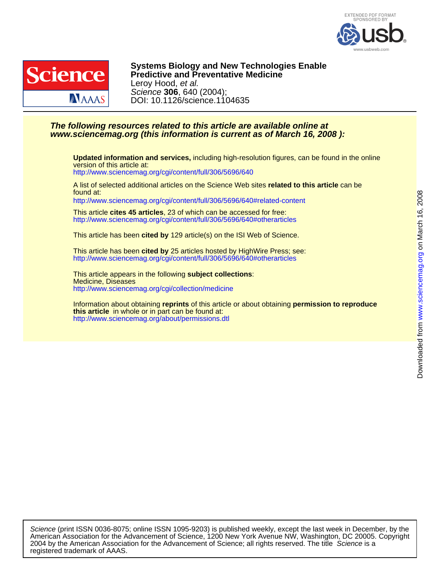



DOI: 10.1126/science.1104635 Science **306**, 640 (2004); Leroy Hood, et al. **Predictive and Preventative Medicine Systems Biology and New Technologies Enable**

### **www.sciencemag.org (this information is current as of March 16, 2008 ): The following resources related to this article are available online at**

<http://www.sciencemag.org/cgi/content/full/306/5696/640> version of this article at: **Updated information and services,** including high-resolution figures, can be found in the online

found at: A list of selected additional articles on the Science Web sites **related to this article** can be

<http://www.sciencemag.org/cgi/content/full/306/5696/640#related-content>

<http://www.sciencemag.org/cgi/content/full/306/5696/640#otherarticles> This article **cites 45 articles**, 23 of which can be accessed for free:

This article has been **cited by** 129 article(s) on the ISI Web of Science.

<http://www.sciencemag.org/cgi/content/full/306/5696/640#otherarticles> This article has been **cited by** 25 articles hosted by HighWire Press; see:

<http://www.sciencemag.org/cgi/collection/medicine> Medicine, Diseases This article appears in the following **subject collections**:

<http://www.sciencemag.org/about/permissions.dtl> **this article** in whole or in part can be found at: Information about obtaining **reprints** of this article or about obtaining **permission to reproduce**

registered trademark of AAAS. 2004 by the American Association for the Advancement of Science; all rights reserved. The title Science is a American Association for the Advancement of Science, 1200 New York Avenue NW, Washington, DC 20005. Copyright Science (print ISSN 0036-8075; online ISSN 1095-9203) is published weekly, except the last week in December, by the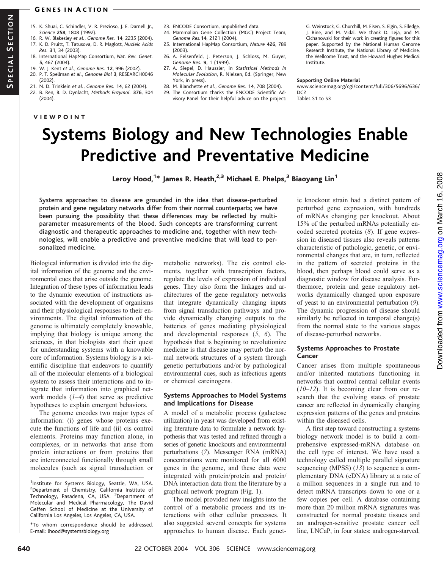# PECIAL ທ **NOTION**

ທ

15. K. Shuai, C. Schindler, V. R. Prezioso, J. E. Darnell Jr., Science 258, 1808 (1992). 16. R. W. Blakesley et al., Genome Res. 14, 2235 (2004).

**GENES IN ACTION** 

- 17. K. D. Pruitt, T. Tatusova, D. R. Maglott, Nucleic Acids Res. 31, 34 (2003).
- 18. International HapMap Consortium, Nat. Rev. Genet. 5, 467 (2004).
- 19. W. J. Kent et al., Genome Res. 12, 996 (2002).
- 20. P. T. Spellman et al., Genome Biol 3, RESEARCH0046  $(2002)$
- 
- 21. N. D. Trinklein et al., Genome Res. 14, 62 (2004). 22. B. Ren, B. D. Dynlacht, Methods Enzymol. 376, 304 (2004).
	- **VIEWPOINT**
- 23. ENCODE Consortium, unpublished data.
- 24. Mammalian Gene Collection (MGC) Project Team, Genome Res.14, 2121 (2004).
- 25. International HapMap Consortium, Nature 426, 789 (2003).
- 26. A. Felsenfeld, J. Peterson, J. Schloss, M. Guyer, Genome Res. 9, 1 (1999).
- 27. A. Siepel, D. Haussler, in Statistical Methods in Molecular Evolution, R. Nielsen, Ed. (Springer, New York, in press).
- 28. M. Blanchette et al., Genome Res. 14, 708 (2004).
- 29. The Consortium thanks the ENCODE Scientific Advisory Panel for their helpful advice on the project:

G. Weinstock, G. Churchill, M. Eisen, S. Elgin, S. Elledge, J. Rine, and M. Vidal. We thank D. Leja, and M. Cichanowski for their work in creating figures for this paper. Supported by the National Human Genome Research Institute, the National Library of Medicine, the Wellcome Trust, and the Howard Hughes Medical Institute.

#### Supporting Online Material

www.sciencemag.org/cgi/content/full/306/5696/636/ D<sub>C2</sub>

Tables S1 to S3

# Systems Biology and New Technologies Enable Predictive and Preventative Medicine

Leroy Hood,<sup>1\*</sup> James R. Heath,<sup>2,3</sup> Michael E. Phelps,<sup>3</sup> Biaoyang Lin<sup>1</sup>

Systems approaches to disease are grounded in the idea that disease-perturbed protein and gene regulatory networks differ from their normal counterparts; we have been pursuing the possibility that these differences may be reflected by multiparameter measurements of the blood. Such concepts are transforming current diagnostic and therapeutic approaches to medicine and, together with new technologies, will enable a predictive and preventive medicine that will lead to personalized medicine.

Biological information is divided into the digital information of the genome and the environmental cues that arise outside the genome. Integration of these types of information leads to the dynamic execution of instructions associated with the development of organisms and their physiological responses to their environments. The digital information of the genome is ultimately completely knowable, implying that biology is unique among the sciences, in that biologists start their quest for understanding systems with a knowable core of information. Systems biology is a scientific discipline that endeavors to quantify all of the molecular elements of a biological system to assess their interactions and to integrate that information into graphical network models  $(1-4)$  that serve as predictive hypotheses to explain emergent behaviors.

The genome encodes two major types of information: (i) genes whose proteins execute the functions of life and (ii) cis control elements. Proteins may function alone, in complexes, or in networks that arise from protein interactions or from proteins that are interconnected functionally through small molecules (such as signal transduction or

metabolic networks). The cis control elements, together with transcription factors, regulate the levels of expression of individual genes. They also form the linkages and architectures of the gene regulatory networks that integrate dynamically changing inputs from signal transduction pathways and provide dynamically changing outputs to the batteries of genes mediating physiological and developmental responses (5, 6). The hypothesis that is beginning to revolutionize medicine is that disease may perturb the normal network structures of a system through genetic perturbations and/or by pathological environmental cues, such as infectious agents or chemical carcinogens.

#### Systems Approaches to Model Systems and Implications for Disease

A model of a metabolic process (galactose utilization) in yeast was developed from existing literature data to formulate a network hypothesis that was tested and refined through a series of genetic knockouts and environmental perturbations (7). Messenger RNA (mRNA) concentrations were monitored for all 6000 genes in the genome, and these data were integrated with protein/protein and protein/ DNA interaction data from the literature by a graphical network program (Fig. 1).

The model provided new insights into the control of a metabolic process and its interactions with other cellular processes. It also suggested several concepts for systems approaches to human disease. Each genet-

ic knockout strain had a distinct pattern of perturbed gene expression, with hundreds of mRNAs changing per knockout. About 15% of the perturbed mRNAs potentially encoded secreted proteins (8). If gene expression in diseased tissues also reveals patterns characteristic of pathologic, genetic, or environmental changes that are, in turn, reflected in the pattern of secreted proteins in the blood, then perhaps blood could serve as a diagnostic window for disease analysis. Furthermore, protein and gene regulatory networks dynamically changed upon exposure of yeast to an environmental perturbation (9). The dynamic progression of disease should similarly be reflected in temporal change(s) from the normal state to the various stages of disease-perturbed networks.

#### Systems Approaches to Prostate Cancer

Cancer arises from multiple spontaneous and/or inherited mutations functioning in networks that control central cellular events  $(10-12)$ . It is becoming clear from our research that the evolving states of prostate cancer are reflected in dynamically changing expression patterns of the genes and proteins within the diseased cells.

A first step toward constructing a systems biology network model is to build a comprehensive expressed-mRNA database on the cell type of interest. We have used a technology called multiple parallel signature sequencing (MPSS)  $(13)$  to sequence a complementary DNA (cDNA) library at a rate of a million sequences in a single run and to detect mRNA transcripts down to one or a few copies per cell. A database containing more than 20 million mRNA signatures was constructed for normal prostate tissues and an androgen-sensitive prostate cancer cell line, LNCaP, in four states: androgen-starved,

<sup>&</sup>lt;sup>1</sup>Institute for Systems Biology, Seattle, WA, USA. <sup>2</sup>Department of Chemistry, California Institute of Technology, Pasadena, CA, USA. <sup>3</sup>Department of Molecular and Medical Pharmacology, The David Geffen School of Medicine at the University of California Los Angeles, Los Angeles, CA, USA.

<sup>\*</sup>To whom correspondence should be addressed. E-mail: lhood@systemsbiology.org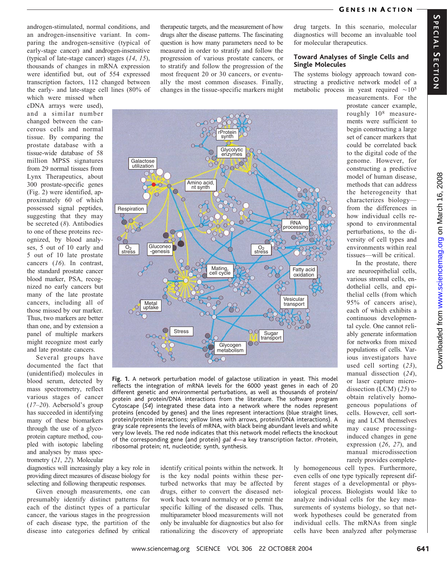measurements. For the prostate cancer example, roughly 10<sup>8</sup> measurements were sufficient to begin constructing a large set of cancer markers that could be correlated back to the digital code of the genome. However, for constructing a predictive model of human disease, methods that can address the heterogeneity that characterizes biology from the differences in how individual cells respond to environmental perturbations, to the diversity of cell types and environments within real tissues—will be critical. In the prostate, there are neuroepithelial cells, various stromal cells, endothelial cells, and epithelial cells (from which 95% of cancers arise), each of which exhibits a continuous developmental cycle. One cannot reliably generate information for networks from mixed populations of cells. Various investigators have used cell sorting (23), manual dissection (24), or laser capture microdissection (LCM)  $(25)$  to obtain relatively homogeneous populations of cells. However, cell sorting and LCM themselves may cause processinginduced changes in gene expression (26, 27), and manual microdissection

drug targets. In this scenario, molecular diagnostics will become an invaluable tool

Toward Analyses of Single Cells and

The systems biology approach toward constructing a predictive network model of a metabolic process in yeast required  $\sim 10^5$ 

for molecular therapeutics.

Single Molecules

androgen-stimulated, normal conditions, and an androgen-insensitive variant. In comparing the androgen-sensitive (typical of early-stage cancer) and androgen-insensitive (typical of late-stage cancer) stages (14, 15), thousands of changes in mRNA expression were identified but, out of 554 expressed transcription factors, 112 changed between the early- and late-stage cell lines (80% of

which were missed when cDNA arrays were used), and a similar number changed between the cancerous cells and normal tissue. By comparing the prostate database with a tissue-wide database of 58 million MPSS signatures from 29 normal tissues from Lynx Therapeutics, about 300 prostate-specific genes (Fig. 2) were identified, approximately 60 of which possessed signal peptides, suggesting that they may be secreted  $(8)$ . Antibodies to one of these proteins recognized, by blood analyses, 5 out of 10 early and 5 out of 10 late prostate cancers (16). In contrast, the standard prostate cancer blood marker, PSA, recognized no early cancers but many of the late prostate cancers, including all of those missed by our marker. Thus, two markers are better than one, and by extension a panel of multiple markers might recognize most early and late prostate cancers.

Several groups have documented the fact that (unidentified) molecules in blood serum, detected by mass spectrometry, reflect various stages of cancer (17–20). Aebersold's group has succeeded in identifying many of these biomarkers through the use of a glycoprotein capture method, coupled with isotopic labeling and analyses by mass spectrometry (21, 22). Molecular

diagnostics will increasingly play a key role in providing direct measures of disease biology for selecting and following therapeutic responses.

Given enough measurements, one can presumably identify distinct patterns for each of the distinct types of a particular cancer, the various stages in the progression of each disease type, the partition of the disease into categories defined by critical

therapeutic targets, and the measurement of how drugs alter the disease patterns. The fascinating question is how many parameters need to be measured in order to stratify and follow the progression of various prostate cancers, or to stratify and follow the progression of the most frequent 20 or 30 cancers, or eventually the most common diseases. Finally, changes in the tissue-specific markers might



Fig. 1. A network perturbation model of galactose utilization in yeast. This model reflects the integration of mRNA levels for the 6000 yeast genes in each of 20 different genetic and environmental perturbations, as well as thousands of protein/ protein and protein/DNA interactions from the literature. The software program Cytoscape (54) integrated these data into a network where the nodes represent proteins (encoded by genes) and the lines represent interactions (blue straight lines, protein/protein interactions; yellow lines with arrows, protein/DNA interactions). A gray scale represents the levels of mRNA, with black being abundant levels and white very low levels. The red node indicates that this network model reflects the knockout of the corresponding gene (and protein) *gal 4*—a key transcription factor. rProtein, ribosomal protein; nt, nucleotide; synth, synthesis.

identify critical points within the network. It is the key nodal points within these perturbed networks that may be affected by drugs, either to convert the diseased network back toward normalcy or to permit the specific killing of the diseased cells. Thus, multiparameter blood measurements will not only be invaluable for diagnostics but also for rationalizing the discovery of appropriate

rarely provides completely homogeneous cell types. Furthermore, even cells of one type typically represent different stages of a developmental or physiological process. Biologists would like to analyze individual cells for the key measurements of systems biology, so that network hypotheses could be generated from individual cells. The mRNAs from single cells have been analyzed after polymerase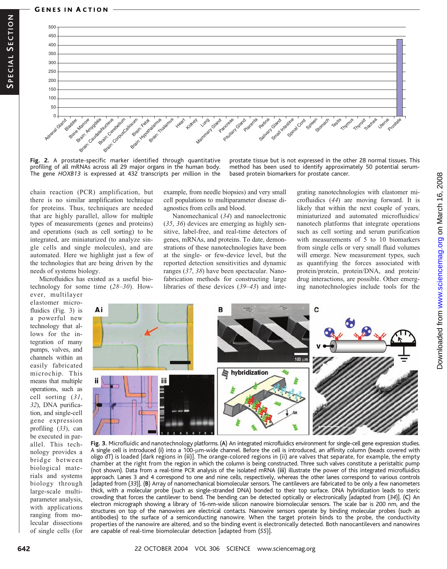

Fig. 2. A prostate-specific marker identified through quantitative profiling of all mRNAs across all 29 major organs in the human body. The gene HOXB13 is expressed at 432 transcripts per million in the prostate tissue but is not expressed in the other 28 normal tissues. This method has been used to identify approximately 50 potential serumbased protein biomarkers for prostate cancer.

chain reaction (PCR) amplification, but there is no similar amplification technique for proteins. Thus, techniques are needed that are highly parallel, allow for multiple types of measurements (genes and proteins) and operations (such as cell sorting) to be integrated, are miniaturized (to analyze single cells and single molecules), and are automated. Here we highlight just a few of the technologies that are being driven by the needs of systems biology.

Microfluidics has existed as a useful biotechnology for some time  $(28-30)$ . How-

ever, multilayer elastomer microfluidics (Fig. 3) is a powerful new technology that allows for the integration of many pumps, valves, and channels within an easily fabricated microchip. This means that multiple operations, such as cell sorting (31, 32), DNA purification, and single-cell gene expression profiling (33), can be executed in parallel. This technology provides a bridge between biological materials and systems biology through large-scale multiparameter analysis, with applications ranging from molecular dissections of single cells (for

example, from needle biopsies) and very small cell populations to multiparameter disease diagnostics from cells and blood.

Nanomechanical (34) and nanoelectronic (35, 36) devices are emerging as highly sensitive, label-free, and real-time detectors of genes, mRNAs, and proteins. To date, demonstrations of these nanotechnologies have been at the single- or few-device level, but the reported detection sensitivities and dynamic ranges (37, 38) have been spectacular. Nanofabrication methods for constructing large libraries of these devices (39–43) and inte-

grating nanotechnologies with elastomer microfluidics (44) are moving forward. It is likely that within the next couple of years, miniaturized and automated microfluidics/ nanotech platforms that integrate operations such as cell sorting and serum purification with measurements of 5 to 10 biomarkers from single cells or very small fluid volumes will emerge. New measurement types, such as quantifying the forces associated with protein/protein, protein/DNA, and protein/ drug interactions, are possible. Other emerging nanotechnologies include tools for the



Fig. 3. Microfluidic and nanotechnology platforms. (A) An integrated microfluidics environment for single-cell gene expression studies. A single cell is introduced (i) into a 100-µm-wide channel. Before the cell is introduced, an affinity column (beads covered with oligo dT) is loaded [dark regions in (ii)]. The orange-colored regions in (ii) are valves that separate, for example, the empty chamber at the right from the region in which the column is being constructed. Three such valves constitute a peristaltic pump (not shown). Data from a real-time PCR analysis of the isolated mRNA (iii) illustrate the power of this integrated microfluidics approach. Lanes 3 and 4 correspond to one and nine cells, respectively, whereas the other lanes correspond to various controls [adapted from (33)]. (B) Array of nanomechanical biomolecular sensors. The cantilevers are fabricated to be only a few nanometers thick, with a molecular probe (such as single-stranded DNA) bonded to their top surface. DNA hybridization leads to steric crowding that forces the cantilever to bend. The bending can be detected optically or electronically [adapted from (34)]. (C) An electron micrograph showing a library of 16-nm-wide silicon nanowire biomolecular sensors. The scale bar is 200 nm, and the structures on top of the nanowires are electrical contacts. Nanowire sensors operate by binding molecular probes (such as antibodies) to the surface of a semiconducting nanowire. When the target protein binds to the probe, the conductivity properties of the nanowire are altered, and so the binding event is electronically detected. Both nanocantilevers and nanowires are capable of real-time biomolecular detection [adapted from (55)].